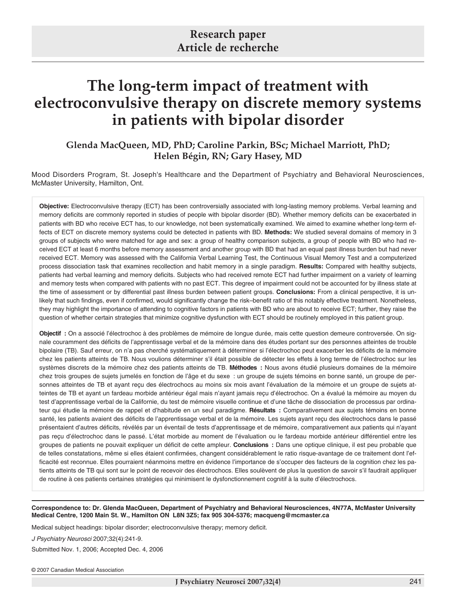# **The long-term impact of treatment with electroconvulsive therapy on discrete memory systems in patients with bipolar disorder**

**Glenda MacQueen, MD, PhD; Caroline Parkin, BSc; Michael Marriott, PhD; Helen Bégin, RN; Gary Hasey, MD**

Mood Disorders Program, St. Joseph's Healthcare and the Department of Psychiatry and Behavioral Neurosciences, McMaster University, Hamilton, Ont.

**Objective:** Electroconvulsive therapy (ECT) has been controversially associated with long-lasting memory problems. Verbal learning and memory deficits are commonly reported in studies of people with bipolar disorder (BD). Whether memory deficits can be exacerbated in patients with BD who receive ECT has, to our knowledge, not been systematically examined. We aimed to examine whether long-term effects of ECT on discrete memory systems could be detected in patients with BD. **Methods:** We studied several domains of memory in 3 groups of subjects who were matched for age and sex: a group of healthy comparison subjects, a group of people with BD who had received ECT at least 6 months before memory assessment and another group with BD that had an equal past illness burden but had never received ECT. Memory was assessed with the California Verbal Learning Test, the Continuous Visual Memory Test and a computerized process dissociation task that examines recollection and habit memory in a single paradigm. **Results:** Compared with healthy subjects, patients had verbal learning and memory deficits. Subjects who had received remote ECT had further impairment on a variety of learning and memory tests when compared with patients with no past ECT. This degree of impairment could not be accounted for by illness state at the time of assessment or by differential past illness burden between patient groups. **Conclusions:** From a clinical perspective, it is unlikely that such findings, even if confirmed, would significantly change the risk–benefit ratio of this notably effective treatment. Nonetheless, they may highlight the importance of attending to cognitive factors in patients with BD who are about to receive ECT; further, they raise the question of whether certain strategies that minimize cognitive dysfunction with ECT should be routinely employed in this patient group.

**Objectif :** On a associé l'électrochoc à des problèmes de mémoire de longue durée, mais cette question demeure controversée. On signale couramment des déficits de l'apprentissage verbal et de la mémoire dans des études portant sur des personnes atteintes de trouble bipolaire (TB). Sauf erreur, on n'a pas cherché systématiquement à déterminer si l'électrochoc peut exacerber les déficits de la mémoire chez les patients atteints de TB. Nous voulions déterminer s'il était possible de détecter les effets à long terme de l'électrochoc sur les systèmes discrets de la mémoire chez des patients atteints de TB. **Méthodes :** Nous avons étudié plusieurs domaines de la mémoire chez trois groupes de sujets jumelés en fonction de l'âge et du sexe : un groupe de sujets témoins en bonne santé, un groupe de personnes atteintes de TB et ayant reçu des électrochocs au moins six mois avant l'évaluation de la mémoire et un groupe de sujets atteintes de TB et ayant un fardeau morbide antérieur égal mais n'ayant jamais reçu d'électrochoc. On a évalué la mémoire au moyen du test d'apprentissage verbal de la Californie, du test de mémoire visuelle continue et d'une tâche de dissociation de processus par ordinateur qui étudie la mémoire de rappel et d'habitude en un seul paradigme. **Résultats :** Comparativement aux sujets témoins en bonne santé, les patients avaient des déficits de l'apprentissage verbal et de la mémoire. Les sujets ayant reçu des électrochocs dans le passé présentaient d'autres déficits, révélés par un éventail de tests d'apprentissage et de mémoire, comparativement aux patients qui n'ayant pas reçu d'électrochoc dans le passé. L'état morbide au moment de l'évaluation ou le fardeau morbide antérieur différentiel entre les groupes de patients ne pouvait expliquer un déficit de cette ampleur. **Conclusions :** Dans une optique clinique, il est peu probable que de telles constatations, même si elles étaient confirmées, changent considérablement le ratio risque-avantage de ce traitement dont l'efficacité est reconnue. Elles pourraient néanmoins mettre en évidence l'importance de s'occuper des facteurs de la cognition chez les patients atteints de TB qui sont sur le point de recevoir des électrochocs. Elles soulèvent de plus la question de savoir s'il faudrait appliquer de routine à ces patients certaines stratégies qui minimisent le dysfonctionnement cognitif à la suite d'électrochocs.

**Correspondence to: Dr. Glenda MacQueen, Department of Psychiatry and Behavioral Neurosciences, 4N77A, McMaster University Medical Centre, 1200 Main St. W., Hamilton ON L8N 3Z5; fax 905 304-5376; macqueng@mcmaster.ca**

Medical subject headings: bipolar disorder; electroconvulsive therapy; memory deficit.

J Psychiatry Neurosci 2007;32(4):241-9.

Submitted Nov. 1, 2006; Accepted Dec. 4, 2006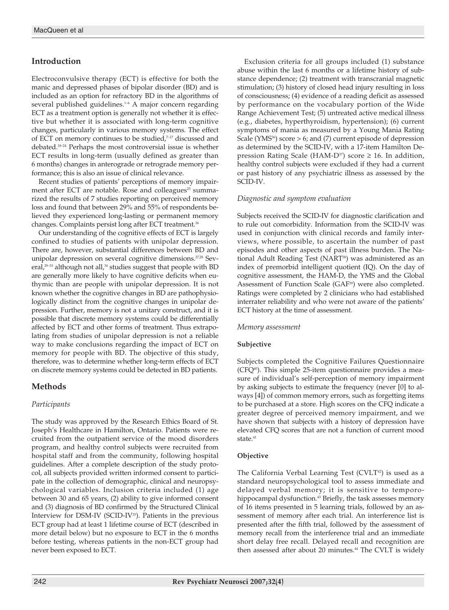# **Introduction**

Electroconvulsive therapy (ECT) is effective for both the manic and depressed phases of bipolar disorder (BD) and is included as an option for refractory BD in the algorithms of several published guidelines.<sup>1-6</sup> A major concern regarding ECT as a treatment option is generally not whether it is effective but whether it is associated with long-term cognitive changes, particularly in various memory systems. The effect of ECT on memory continues to be studied, $7-17$  discussed and debated.18–24 Perhaps the most controversial issue is whether ECT results in long-term (usually defined as greater than 6 months) changes in anterograde or retrograde memory performance; this is also an issue of clinical relevance.

Recent studies of patients' perceptions of memory impairment after ECT are notable. Rose and colleagues<sup>25</sup> summarized the results of 7 studies reporting on perceived memory loss and found that between 29% and 55% of respondents believed they experienced long-lasting or permanent memory changes. Complaints persist long after ECT treatment.<sup>26</sup>

Our understanding of the cognitive effects of ECT is largely confined to studies of patients with unipolar depression. There are, however, substantial differences between BD and unipolar depression on several cognitive dimensions.<sup>27,28</sup> Several,<sup>29-33</sup> although not all,<sup>34</sup> studies suggest that people with BD are generally more likely to have cognitive deficits when euthymic than are people with unipolar depression. It is not known whether the cognitive changes in BD are pathophysiologically distinct from the cognitive changes in unipolar depression. Further, memory is not a unitary construct, and it is possible that discrete memory systems could be differentially affected by ECT and other forms of treatment. Thus extrapolating from studies of unipolar depression is not a reliable way to make conclusions regarding the impact of ECT on memory for people with BD. The objective of this study, therefore, was to determine whether long-term effects of ECT on discrete memory systems could be detected in BD patients.

# **Methods**

# *Participants*

The study was approved by the Research Ethics Board of St. Joseph's Healthcare in Hamilton, Ontario. Patients were recruited from the outpatient service of the mood disorders program, and healthy control subjects were recruited from hospital staff and from the community, following hospital guidelines. After a complete description of the study protocol, all subjects provided written informed consent to participate in the collection of demographic, clinical and neuropsychological variables. Inclusion criteria included (1) age between 30 and 65 years, (2) ability to give informed consent and (3) diagnosis of BD confirmed by the Structured Clinical Interview for DSM-IV (SCID-IV35). Patients in the previous ECT group had at least 1 lifetime course of ECT (described in more detail below) but no exposure to ECT in the 6 months before testing, whereas patients in the non-ECT group had never been exposed to ECT.

Exclusion criteria for all groups included (1) substance abuse within the last 6 months or a lifetime history of substance dependence; (2) treatment with transcranial magnetic stimulation; (3) history of closed head injury resulting in loss of consciousness; (4) evidence of a reading deficit as assessed by performance on the vocabulary portion of the Wide Range Achievement Test; (5) untreated active medical illness (e.g., diabetes, hyperthyroidism, hypertension); (6) current symptoms of mania as measured by a Young Mania Rating Scale ( $YMS<sup>36</sup>$ ) score  $> 6$ ; and (7) current episode of depression as determined by the SCID-IV, with a 17-item Hamilton Depression Rating Scale (HAM-D<sup>37</sup>) score  $\geq$  16. In addition, healthy control subjects were excluded if they had a current or past history of any psychiatric illness as assessed by the SCID-IV.

# *Diagnostic and symptom evaluation*

Subjects received the SCID-IV for diagnostic clarification and to rule out comorbidity. Information from the SCID-IV was used in conjunction with clinical records and family interviews, where possible, to ascertain the number of past episodes and other aspects of past illness burden. The National Adult Reading Test (NART<sup>38</sup>) was administered as an index of premorbid intelligent quotient (IQ). On the day of cognitive assessment, the HAM-D, the YMS and the Global Assessment of Function Scale (GAF<sup>39</sup>) were also completed. Ratings were completed by 2 clinicians who had established interrater reliability and who were not aware of the patients' ECT history at the time of assessment.

# *Memory assessment*

# **Subjective**

Subjects completed the Cognitive Failures Questionnaire  $(CFQ<sup>40</sup>)$ . This simple 25-item questionnaire provides a measure of individual's self-perception of memory impairment by asking subjects to estimate the frequency (never [0] to always [4]) of common memory errors, such as forgetting items to be purchased at a store. High scores on the CFQ indicate a greater degree of perceived memory impairment, and we have shown that subjects with a history of depression have elevated CFQ scores that are not a function of current mood state.<sup>41</sup>

# **Objective**

The California Verbal Learning Test ( $C V L T^{42}$ ) is used as a standard neuropsychological tool to assess immediate and delayed verbal memory; it is sensitive to temporohippocampal dysfunction.<sup>43</sup> Briefly, the task assesses memory of 16 items presented in 5 learning trials, followed by an assessment of memory after each trial. An interference list is presented after the fifth trial, followed by the assessment of memory recall from the interference trial and an immediate short delay free recall. Delayed recall and recognition are then assessed after about 20 minutes.<sup>44</sup> The CVLT is widely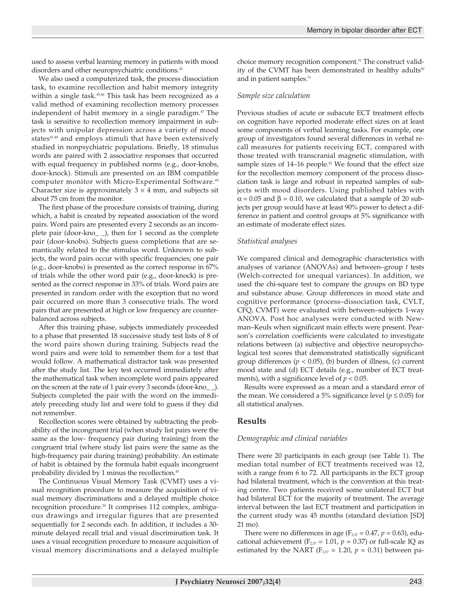used to assess verbal learning memory in patients with mood disorders and other neuropsychiatric conditions.<sup>42</sup>

We also used a computerized task, the process dissociation task, to examine recollection and habit memory integrity within a single task.<sup>45,46</sup> This task has been recognized as a valid method of examining recollection memory processes independent of habit memory in a single paradigm.<sup>47</sup> The task is sensitive to recollection memory impairment in subjects with unipolar depression across a variety of mood states<sup>41,48</sup> and employs stimuli that have been extensively studied in nonpsychiatric populations. Briefly, 18 stimulus words are paired with 2 associative responses that occurred with equal frequency in published norms (e.g., door-knobs, door-knock). Stimuli are presented on an IBM compatible computer monitor with Micro-Experimental Software.<sup>49</sup> Character size is approximately  $3 \times 4$  mm, and subjects sit about 75 cm from the monitor.

The first phase of the procedure consists of training, during which, a habit is created by repeated association of the word pairs. Word pairs are presented every 2 seconds as an incomplete pair (door-kno\_ \_), then for 1 second as the complete pair (door-knobs). Subjects guess completions that are semantically related to the stimulus word. Unknown to subjects, the word pairs occur with specific frequencies; one pair (e.g., door-knobs) is presented as the correct response in 67% of trials while the other word pair (e.g., door-knock) is presented as the correct response in 33% of trials. Word pairs are presented in random order with the exception that no word pair occurred on more than 3 consecutive trials. The word pairs that are presented at high or low frequency are counterbalanced across subjects.

After this training phase, subjects immediately proceeded to a phase that presented 18 successive study test lists of 8 of the word pairs shown during training. Subjects read the word pairs and were told to remember them for a test that would follow. A mathematical distractor task was presented after the study list. The key test occurred immediately after the mathematical task when incomplete word pairs appeared on the screen at the rate of 1 pair every 3 seconds (door-kno\_ \_). Subjects completed the pair with the word on the immediately preceding study list and were told to guess if they did not remember.

Recollection scores were obtained by subtracting the probability of the incongruent trial (when study list pairs were the same as the low- frequency pair during training) from the congruent trial (where study list pairs were the same as the high-frequency pair during training) probability. An estimate of habit is obtained by the formula habit equals incongruent probability divided by 1 minus the recollection.<sup>45</sup>

The Continuous Visual Memory Task (CVMT) uses a visual recognition procedure to measure the acquisition of visual memory discriminations and a delayed multiple choice recognition procedure.<sup>50</sup> It comprises 112 complex, ambiguous drawings and irregular figures that are presented sequentially for 2 seconds each. In addition, it includes a 30 minute delayed recall trial and visual discrimination task. It uses a visual recognition procedure to measure acquisition of visual memory discriminations and a delayed multiple choice memory recognition component.<sup>51</sup> The construct validity of the CVMT has been demonstrated in healthy adults $50$ and in patient samples.<sup>51</sup>

## *Sample size calculation*

Previous studies of acute or subacute ECT treatment effects on cognition have reported moderate effect sizes on at least some components of verbal learning tasks. For example, one group of investigators found several differences in verbal recall measures for patients receiving ECT, compared with those treated with transcranial magnetic stimulation, with sample sizes of  $14-16$  people.<sup>52</sup> We found that the effect size for the recollection memory component of the process dissociation task is large and robust in repeated samples of subjects with mood disorders. Using published tables with  $\alpha$  = 0.05 and  $\beta$  = 0.10, we calculated that a sample of 20 subjects per group would have at least 90% power to detect a difference in patient and control groups at 5% significance with an estimate of moderate effect sizes.

## *Statistical analyses*

We compared clinical and demographic characteristics with analyses of variance (ANOVAs) and between–group *t* tests (Welch-corrected for unequal variances). In addition, we used the chi-square test to compare the groups on BD type and substance abuse. Group differences in mood state and cognitive performance (process–dissociation task, CVLT, CFQ, CVMT) were evaluated with between–subjects 1-way ANOVA. Post hoc analyses were conducted with Newman–Keuls when significant main effects were present. Pearson's correlation coefficients were calculated to investigate relations between (a) subjective and objective neuropsychological test scores that demonstrated statistically significant group differences ( $p < 0.05$ ), (b) burden of illness, (c) current mood state and (d) ECT details (e.g., number of ECT treatments), with a significance level of  $p < 0.05$ .

Results were expressed as a mean and a standard error of the mean. We considered a 5% significance level ( $p \le 0.05$ ) for all statistical analyses.

# **Results**

# *Demographic and clinical variables*

There were 20 participants in each group (see Table 1). The median total number of ECT treatments received was 12, with a range from 6 to 72. All participants in the ECT group had bilateral treatment, which is the convention at this treating centre. Two patients received some unilateral ECT but had bilateral ECT for the majority of treatment. The average interval between the last ECT treatment and participation in the current study was 45 months (standard deviation [SD] 21 mo).

There were no differences in age ( $F_{257} = 0.47$ ,  $p = 0.63$ ), educational achievement ( $F_{2,57} = 1.01$ ,  $p = 0.37$ ) or full-scale IQ as estimated by the NART ( $F_{2,57}$  = 1.20,  $p = 0.31$ ) between pa-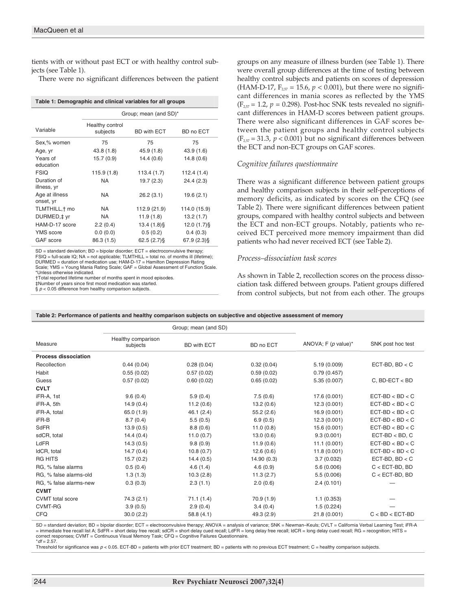tients with or without past ECT or with healthy control subjects (see Table 1).

There were no significant differences between the patient

| Table 1: Demographic and clinical variables for all groups |  |  |
|------------------------------------------------------------|--|--|
|                                                            |  |  |

|                             | Group; mean (and SD)*       |                    |               |  |  |
|-----------------------------|-----------------------------|--------------------|---------------|--|--|
| Variable                    | Healthy control<br>subjects | <b>BD with ECT</b> | BD no ECT     |  |  |
| Sex,% women                 | 75                          | 75                 | 75            |  |  |
| Age, yr                     | 43.8 (1.8)                  | 45.9(1.8)          | 43.9 (1.6)    |  |  |
| Years of<br>education       | 15.7(0.9)                   | 14.4(0.6)          | 14.8(0.6)     |  |  |
| <b>FSIQ</b>                 | 115.9(1.8)                  | 113.4 (1.7)        | 112.4 (1.4)   |  |  |
| Duration of<br>illness, yr  | NA                          | 19.7(2.3)          | 24.4(2.3)     |  |  |
| Age at illness<br>onset, yr | <b>NA</b>                   | 26.2(3.1)          | 19.6(2.1)     |  |  |
| TLMTHILL, + mo              | <b>NA</b>                   | 112.9 (21.9)       | 114.0 (15.9)  |  |  |
| DURMED, ‡ yr                | <b>NA</b>                   | 11.9(1.8)          | 13.2(1.7)     |  |  |
| HAM-D-17 score              | 2.2(0.4)                    | $13.4(1.8)$ §      | $12.0(1.7)\$  |  |  |
| <b>YMS</b> score            | 0.0(0.0)                    | 0.5(0.2)           | 0.4(0.3)      |  |  |
| GAF score                   | 86.3 (1.5)                  | $62.5(2.7)\$       | $67.9(2.3)$ § |  |  |
|                             |                             |                    |               |  |  |

SD = standard deviation; BD = bipolar disorder; ECT = electroconvulsive therapy; FSIQ = full-scale IQ; NA = not applicable; TLMTHILL = total no. of months ill (lifetime); DURMED = duration of medication use; HAM-D-17 = Hamilton Depression Rating Scale; YMS = Young Mania Rating Scale; GAF = Global Assessment of Function Scale. \*Unless otherwise indicated.

†Total reported lifetime number of months spent in mood episodes.

‡Number of years since first mood medication was started.

 $\S p < 0.05$  difference from healthy comparison subjects.

groups on any measure of illness burden (see Table 1). There were overall group differences at the time of testing between healthy control subjects and patients on scores of depression (HAM-D-17,  $F_{2.57} = 15.6$ ,  $p < 0.001$ ), but there were no significant differences in mania scores as reflected by the YMS  $(F_{2,57} = 1.2, p = 0.298)$ . Post-hoc SNK tests revealed no significant differences in HAM-D scores between patient groups. There were also significant differences in GAF scores between the patient groups and healthy control subjects  $(F_{2,57} = 31.3, p < 0.001)$  but no significant differences between the ECT and non-ECT groups on GAF scores.

#### *Cognitive failures questionnaire*

There was a significant difference between patient groups and healthy comparison subjects in their self-perceptions of memory deficits, as indicated by scores on the CFQ (see Table 2). There were significant differences between patient groups, compared with healthy control subjects and between the ECT and non-ECT groups. Notably, patients who received ECT perceived more memory impairment than did patients who had never received ECT (see Table 2).

#### *Process–dissociation task scores*

As shown in Table 2, recollection scores on the process dissociation task differed between groups. Patient groups differed from control subjects, but not from each other. The groups

|                             | Group; mean (and SD)           |                    |            |                        |                   |
|-----------------------------|--------------------------------|--------------------|------------|------------------------|-------------------|
| Measure                     | Healthy comparison<br>subjects | <b>BD with ECT</b> | BD no ECT  | ANOVA; $F (p value)^*$ | SNK post hoc test |
| <b>Process dissociation</b> |                                |                    |            |                        |                   |
| Recollection                | 0.44(0.04)                     | 0.28(0.04)         | 0.32(0.04) | 5.19(0.009)            | ECT-BD, $BD < C$  |
| Habit                       | 0.55(0.02)                     | 0.57(0.02)         | 0.59(0.02) | 0.79(0.457)            |                   |
| Guess                       | 0.57(0.02)                     | 0.60(0.02)         | 0.65(0.02) | 5.35 (0.007)           | $C$ , BD-ECT < BD |
| <b>CVLT</b>                 |                                |                    |            |                        |                   |
| iFR-A, 1st                  | 9.6(0.4)                       | 5.9(0.4)           | 7.5(0.6)   | 17.6 (0.001)           | $ECT-BD < BD < C$ |
| iFR-A, 5th                  | 14.9(0.4)                      | 11.2(0.6)          | 13.2(0.6)  | 12.3(0.001)            | $ECT-BD < BD < C$ |
| iFR-A, total                | 65.0(1.9)                      | 46.1(2.4)          | 55.2(2.6)  | 16.9 (0.001)           | $ECT-BD < BD < C$ |
| iFR-B                       | 8.7(0.4)                       | 5.5(0.5)           | 6.9(0.5)   | 12.3(0.001)            | $ECT-BD < BD < C$ |
| SdFR                        | 13.9(0.5)                      | 8.8(0.6)           | 11.0(0.8)  | 15.6 (0.001)           | $ECT-BD < BD < C$ |
| sdCR, total                 | 14.4(0.4)                      | 11.0(0.7)          | 13.0(0.6)  | 9.3(0.001)             | $ECT-BD < BD, C$  |
| LdFR                        | 14.3(0.5)                      | 9.8(0.9)           | 11.9(0.6)  | 11.1(0.001)            | $ECT-BD < BD < C$ |
| IdCR, total                 | 14.7(0.4)                      | 10.8(0.7)          | 12.6(0.6)  | 11.8(0.001)            | $ECT-BD < BD < C$ |
| <b>RG HITS</b>              | 15.7(0.2)                      | 14.4(0.5)          | 14.90(0.3) | 3.7(0.032)             | ECT-BD, $BD < C$  |
| RG, % false alarms          | 0.5(0.4)                       | 4.6(1.4)           | 4.6(0.9)   | 5.6 (0.006)            | $C <$ ECT-BD, BD  |
| RG, % false alarms-old      | 1.3(1.3)                       | 10.3(2.8)          | 11.3(2.7)  | 5.5(0.006)             | $C <$ ECT-BD, BD  |
| RG, % false alarms-new      | 0.3(0.3)                       | 2.3(1.1)           | 2.0(0.6)   | 2.4(0.101)             |                   |
| <b>CVMT</b>                 |                                |                    |            |                        |                   |
| <b>CVMT</b> total score     | 74.3(2.1)                      | 71.1(1.4)          | 70.9 (1.9) | 1.1(0.353)             |                   |
| <b>CVMT-RG</b>              | 3.9(0.5)                       | 2.9(0.4)           | 3.4(0.4)   | 1.5(0.224)             |                   |
| <b>CFQ</b>                  | 30.0(2.2)                      | 58.8(4.1)          | 49.3 (2.9) | 21.8 (0.001)           | $C < BD < ECT-BD$ |

**Table 2: Performance of patients and healthy comparison subjects on subjective and objective assessment of memory**

SD = standard deviation; BD = bipolar disorder; ECT = electroconvulsive therapy; ANOVA = analysis of variance; SNK = Newman–Keuls; CVLT = California Verbal Learning Test; iFR-A = immediate free recall list A; SdFR = short delay free recall; sdCR = short delay cued recall; LdFR = long delay free recall; ldCR = long delay cued recall; RG = recognition; HITS = correct responses; CVMT = Continuous Visual Memory Task; CFQ = Cognitive Failures Questionnaire.  $*$ *df* = 2.57

Threshold for significance was  $p < 0.05$ . ECT-BD = patients with prior ECT treatment; BD = patients with no previous ECT treatment; C = healthy comparison subjects.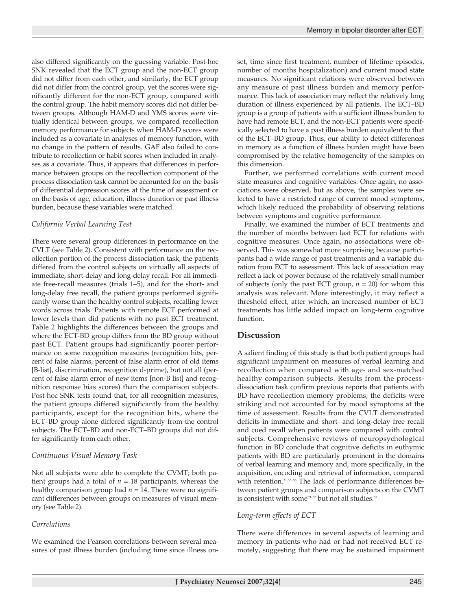also differed significantly on the guessing variable. Post-hoc SNK revealed that the ECT group and the non-ECT group did not differ from each other, and similarly, the ECT group did not differ from the control group, yet the scores were significantly different for the non-ECT group, compared with the control group. The habit memory scores did not differ between groups. Although HAM-D and YMS scores were virtually identical between groups, we compared recollection memory performance for subjects when HAM-D scores were included as a covariate in analyses of memory function, with no change in the pattern of results. GAF also failed to contribute to recollection or habit scores when included in analyses as a covariate. Thus, it appears that differences in performance between groups on the recollection component of the process dissociation task cannot be accounted for on the basis of differential depression scores at the time of assessment or on the basis of age, education, illness duration or past illness burden, because these variables were matched.

# *California Verbal Learning Test*

There were several group differences in performance on the CVLT (see Table 2). Consistent with performance on the recollection portion of the process dissociation task, the patients differed from the control subjects on virtually all aspects of immediate, short-delay and long-delay recall. For all immediate free-recall measures (trials 1–5), and for the short- and long-delay free recall, the patient groups performed significantly worse than the healthy control subjects, recalling fewer words across trials. Patients with remote ECT performed at lower levels than did patients with no past ECT treatment. Table 2 highlights the differences between the groups and where the ECT-BD group differs from the BD group without past ECT. Patient groups had significantly poorer performance on some recognition measures (recognition hits, percent of false alarms, percent of false alarm error of old items [B-list], discrimination, recognition d-prime), but not all (percent of false alarm error of new items [non-B list] and recognition response bias scores) than the comparison subjects. Post-hoc SNK tests found that, for all recognition measures, the patient groups differed significantly from the healthy participants, except for the recognition hits, where the ECT–BD group alone differed significantly from the control subjects. The ECT–BD and non-ECT–BD groups did not differ significantly from each other.

# *Continuous Visual Memory Task*

Not all subjects were able to complete the CVMT; both patient groups had a total of  $n = 18$  participants, whereas the healthy comparison group had  $n = 14$ . There were no significant differences between groups on measures of visual memory (see Table 2).

# *Correlations*

We examined the Pearson correlations between several measures of past illness burden (including time since illness onset, time since first treatment, number of lifetime episodes, number of months hospitalization) and current mood state measures. No significant relations were observed between any measure of past illness burden and memory performance. This lack of association may reflect the relatively long duration of illness experienced by all patients. The ECT–BD group is a group of patients with a sufficient illness burden to have had remote ECT, and the non-ECT patients were specifically selected to have a past illness burden equivalent to that of the ECT–BD group. Thus, our ability to detect differences in memory as a function of illness burden might have been compromised by the relative homogeneity of the samples on this dimension.

Further, we performed correlations with current mood state measures and cognitive variables. Once again, no associations were observed, but as above, the samples were selected to have a restricted range of current mood symptoms, which likely reduced the probability of observing relations between symptoms and cognitive performance.

Finally, we examined the number of ECT treatments and the number of months between last ECT for relations with cognitive measures. Once again, no associations were observed. This was somewhat more surprising because participants had a wide range of past treatments and a variable duration from ECT to assessment. This lack of association may reflect a lack of power because of the relatively small number of subjects (only the past ECT group,  $n = 20$ ) for whom this analysis was relevant. More interestingly, it may reflect a threshold effect, after which, an increased number of ECT treatments has little added impact on long-term cognitive function.

# **Discussion**

A salient finding of this study is that both patient groups had significant impairment on measures of verbal learning and recollection when compared with age- and sex-matched healthy comparison subjects. Results from the processdissociation task confirm previous reports that patients with BD have recollection memory problems; the deficits were striking and not accounted for by mood symptoms at the time of assessment. Results from the CVLT demonstrated deficits in immediate and short- and long-delay free recall and cued recall when patients were compared with control subjects. Comprehensive reviews of neuropsychological function in BD conclude that cognitive deficits in euthymic patients with BD are particularly prominent in the domains of verbal learning and memory and, more specifically, in the acquisition, encoding and retrieval of information, compared with retention.<sup>31,53-58</sup> The lack of performance differences between patient groups and comparison subjects on the CVMT is consistent with some<sup>59-62</sup> but not all studies.<sup>63</sup>

# *Long-term effects of ECT*

There were differences in several aspects of learning and memory in patients who had or had not received ECT remotely, suggesting that there may be sustained impairment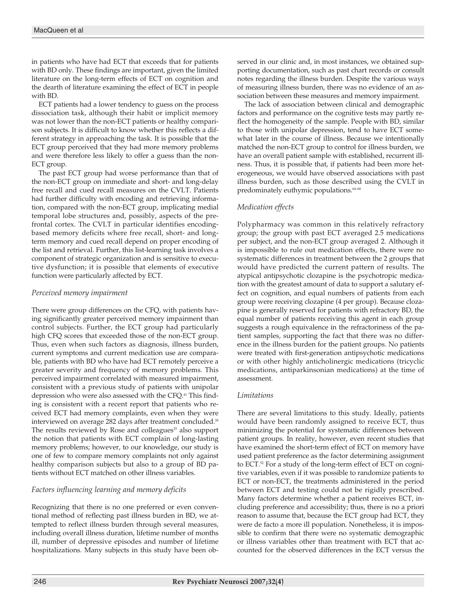in patients who have had ECT that exceeds that for patients with BD only. These findings are important, given the limited literature on the long-term effects of ECT on cognition and the dearth of literature examining the effect of ECT in people with BD.

ECT patients had a lower tendency to guess on the process dissociation task, although their habit or implicit memory was not lower than the non-ECT patients or healthy comparison subjects. It is difficult to know whether this reflects a different strategy in approaching the task. It is possible that the ECT group perceived that they had more memory problems and were therefore less likely to offer a guess than the non-ECT group.

The past ECT group had worse performance than that of the non-ECT group on immediate and short- and long-delay free recall and cued recall measures on the CVLT. Patients had further difficulty with encoding and retrieving information, compared with the non-ECT group, implicating medial temporal lobe structures and, possibly, aspects of the prefrontal cortex. The CVLT in particular identifies encodingbased memory deficits where free recall, short- and longterm memory and cued recall depend on proper encoding of the list and retrieval. Further, this list-learning task involves a component of strategic organization and is sensitive to executive dysfunction; it is possible that elements of executive function were particularly affected by ECT.

# *Perceived memory impairment*

There were group differences on the CFQ, with patients having significantly greater perceived memory impairment than control subjects. Further, the ECT group had particularly high CFQ scores that exceeded those of the non-ECT group. Thus, even when such factors as diagnosis, illness burden, current symptoms and current medication use are comparable, patients with BD who have had ECT remotely perceive a greater severity and frequency of memory problems. This perceived impairment correlated with measured impairment, consistent with a previous study of patients with unipolar depression who were also assessed with the CFQ.<sup>41</sup> This finding is consistent with a recent report that patients who received ECT had memory complaints, even when they were interviewed on average 282 days after treatment concluded.<sup>26</sup> The results reviewed by Rose and colleagues $25$  also support the notion that patients with ECT complain of long-lasting memory problems; however, to our knowledge, our study is one of few to compare memory complaints not only against healthy comparison subjects but also to a group of BD patients without ECT matched on other illness variables.

# *Factors influencing learning and memory deficits*

Recognizing that there is no one preferred or even conventional method of reflecting past illness burden in BD, we attempted to reflect illness burden through several measures, including overall illness duration, lifetime number of months ill, number of depressive episodes and number of lifetime hospitalizations. Many subjects in this study have been observed in our clinic and, in most instances, we obtained supporting documentation, such as past chart records or consult notes regarding the illness burden. Despite the various ways of measuring illness burden, there was no evidence of an association between these measures and memory impairment.

The lack of association between clinical and demographic factors and performance on the cognitive tests may partly reflect the homogeneity of the sample. People with BD, similar to those with unipolar depression, tend to have ECT somewhat later in the course of illness. Because we intentionally matched the non-ECT group to control for illness burden, we have an overall patient sample with established, recurrent illness. Thus, it is possible that, if patients had been more heterogeneous, we would have observed associations with past illness burden, such as those described using the CVLT in predominately euthymic populations.<sup>64-68</sup>

# *Medication effects*

Polypharmacy was common in this relatively refractory group; the group with past ECT averaged 2.5 medications per subject, and the non-ECT group averaged 2. Although it is impossible to rule out medication effects, there were no systematic differences in treatment between the 2 groups that would have predicted the current pattern of results. The atypical antipsychotic clozapine is the psychotropic medication with the greatest amount of data to support a salutary effect on cognition, and equal numbers of patients from each group were receiving clozapine (4 per group). Because clozapine is generally reserved for patients with refractory BD, the equal number of patients receiving this agent in each group suggests a rough equivalence in the refractoriness of the patient samples, supporting the fact that there was no difference in the illness burden for the patient groups. No patients were treated with first-generation antipsychotic medications or with other highly anticholinergic medications (tricyclic medications, antiparkinsonian medications) at the time of assessment.

# *Limitations*

There are several limitations to this study. Ideally, patients would have been randomly assigned to receive ECT, thus minimizing the potential for systematic differences between patient groups. In reality, however, even recent studies that have examined the short-term effect of ECT on memory have used patient preference as the factor determining assignment to ECT.<sup>52</sup> For a study of the long-term effect of ECT on cognitive variables, even if it was possible to randomize patients to ECT or non-ECT, the treatments administered in the period between ECT and testing could not be rigidly prescribed. Many factors determine whether a patient receives ECT, including preference and accessibility; thus, there is no a priori reason to assume that, because the ECT group had ECT, they were de facto a more ill population. Nonetheless, it is impossible to confirm that there were no systematic demographic or illness variables other than treatment with ECT that accounted for the observed differences in the ECT versus the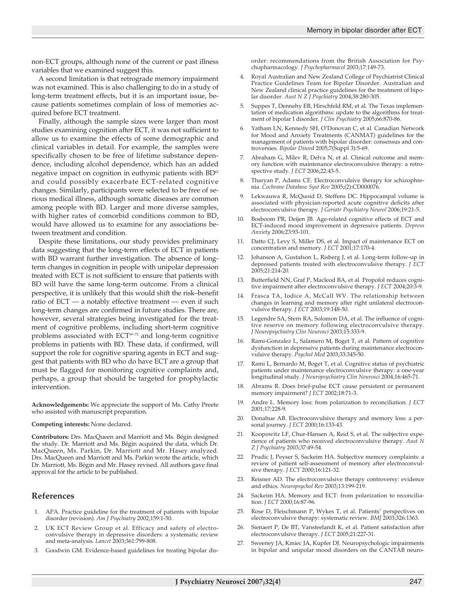non-ECT groups, although none of the current or past illness variables that we examined suggest this.

A second limitation is that retrograde memory impairment was not examined. This is also challenging to do in a study of long-term treatment effects, but it is an important issue, because patients sometimes complain of loss of memories acquired before ECT treatment.

Finally, although the sample sizes were larger than most studies examining cognition after ECT, it was not sufficient to allow us to examine the effects of some demographic and clinical variables in detail. For example, the samples were specifically chosen to be free of lifetime substance dependence, including alcohol dependence, which has an added negative impact on cognition in euthymic patients with  $BD^{\circ 2}$ and could possibly exacerbate ECT-related cognitive changes. Similarly, participants were selected to be free of serious medical illness, although somatic diseases are common among people with BD. Larger and more diverse samples, with higher rates of comorbid conditions common to BD, would have allowed us to examine for any associations between treatment and condition.

Despite these limitations, our study provides preliminary data suggesting that the long-term effects of ECT in patients with BD warrant further investigation. The absence of longterm changes in cognition in people with unipolar depression treated with ECT is not sufficient to ensure that patients with BD will have the same long-term outcome. From a clinical perspective, it is unlikely that this would shift the risk–benefit ratio of ECT — a notably effective treatment — even if such long-term changes are confirmed in future studies. There are, however, several strategies being investigated for the treatment of cognitive problems, including short-term cognitive problems associated with ECT69–72 and long-term cognitive problems in patients with BD. These data, if confirmed, will support the role for cognitive sparing agents in ECT and suggest that patients with BD who do have ECT are a group that must be flagged for monitoring cognitive complaints and, perhaps, a group that should be targeted for prophylactic intervention.

**Acknowledgements:** We appreciate the support of Ms. Cathy Preete who assisted with manuscript preparation.

#### **Competing interests:** None declared.

**Contributors:** Drs. MacQueen and Marriott and Ms. Bégin designed the study. Dr. Marriott and Ms. Bégin acquired the data, which Dr. MacQueen, Ms. Parkin, Dr. Marriott and Mr. Hasey analyzed. Drs. MacQueen and Marriott and Ms. Parkin wrote the article, which Dr. Marriott, Ms. Bégin and Mr. Hasey revised. All authors gave final approval for the article to be published.

## **References**

- 1. APA. Practice guideline for the treatment of patients with bipolar disorder (revision). *Am J Psychiatry* 2002;159:1-50.
- UK ECT Review Group et al. Efficacy and safety of electroconvulsive therapy in depressive disorders: a systematic review and meta-analysis. *Lancet* 2003;361:799-808.
- Goodwin GM. Evidence-based guidelines for treating bipolar dis-

order: recommendations from the British Association for Psychopharmacology. *J Psychopharmacol* 2003;17:149-73.

- 4. Royal Australian and New Zealand College of Psychiatrist Clinical Practice Guidelines Team for Bipolar Disorder. Australian and New Zealand clinical practice guidelines for the treatment of bipolar disorder. *Aust N Z J Psychiatry* 2004;38:280-305.
- 5. Suppes T, Dennehy EB, Hirschfeld RM, et al. The Texas implementation of medication algorithms: update to the algorithms for treatment of bipolar I disorder. *J Clin Psychiatry* 2005;66:870-86.
- Yatham LN, Kennedy SH, O'Donovan C, et al. Canadian Network for Mood and Anxiety Treatments (CANMAT) guidelines for the management of patients with bipolar disorder: consensus and controversies. *Bipolar Disord* 2005;7(Suppl 3):5-69.
- 7. Abraham G, Milev R, Delva N, et al. Clinical outcome and memory function with maintenance electroconvulsive therapy: a retrospective study. *J ECT* 2006;22:43-5.
- 8. Tharyan P, Adams CE. Electroconvulsive therapy for schizophrenia. *Cochrane Database Syst Rev* 2005;(2):CD000076.
- 9. Lekwauwa R, McQuoid D, Steffens DC. Hippocampal volume is associated with physician-reported acute cognitive deficits after electroconvulsive therapy. *J Geriatr Psychiatry Neurol* 2006;19:21-5.
- 10. Bosboom PR, Deijen JB. Age-related cognitive effects of ECT and ECT-induced mood improvement in depressive patients. *Depress Anxiety* 2006;23:93-101.
- 11. Datto CJ, Levy S, Miller DS, et al. Impact of maintenance ECT on concentration and memory. *J ECT* 2001;17:170-4.
- 12. Johanson A, Gustafson L, Risberg J, et al. Long-term follow-up in depressed patients treated with electroconvulsive therapy. *J ECT* 2005;21:214-20.
- 13. Butterfield NN, Graf P, Macleod BA, et al. Propofol reduces cognitive impairment after electroconvulsive therapy. *J ECT* 2004;20:3-9.
- 14. Frasca TA, Iodice A, McCall WV. The relationship between changes in learning and memory after right unilateral electroconvulsive therapy. *J ECT* 2003;19:148-50.
- 15. Legendre SA, Stern RA, Solomon DA, et al. The influence of cognitive reserve on memory following electroconvulsive therapy. *J Neuropsychiatry Clin Neurosci* 2003;15:333-9.
- 16. Rami-Gonzalez L, Salamero M, Boget T, et al. Pattern of cognitive dysfunction in depressive patients during maintenance electroconvulsive therapy. *Psychol Med* 2003;33:345-50.
- Rami L, Bernardo M, Boget T, et al. Cognitive status of psychiatric patients under maintenance electroconvulsive therapy: a one-year longitudinal study. *J Neuropsychiatry Clin Neurosci* 2004;16:465-71.
- 18. Abrams R. Does brief-pulse ECT cause persistent or permanent memory impairment? *J ECT* 2002;18:71-3.
- 19. Andre L. Memory loss: from polarization to reconciliation. *J ECT* 2001;17:228-9.
- 20. Donahue AB. Electroconvulsive therapy and memory loss: a personal journey. *J ECT* 2000;16:133-43.
- 21. Koopowitz LF, Chur-Hansen A, Reid S, et al. The subjective experience of patients who received electroconvulsive therapy. *Aust N Z J Psychiatry* 2003;37:49-54.
- 22. Prudic J, Peyser S, Sackeim HA. Subjective memory complaints: a review of patient self-assessment of memory after electroconvulsive therapy. *J ECT* 2000;16:121-32.
- 23. Reisner AD. The electroconvulsive therapy controversy: evidence and ethics. *Neuropsychol Rev* 2003;13:199-219.
- 24. Sackeim HA. Memory and ECT: from polarization to reconciliation. *J ECT* 2000;16:87-96.
- 25. Rose D, Fleischmann P, Wykes T, et al. Patients' perspectives on electroconvulsive therapy: systematic review. *BMJ* 2003;326:1363.
- 26. Sienaert P, De BT, Vansteelandt K, et al. Patient satisfaction after electroconvulsive therapy. *J ECT* 2005;21:227-31.
- 27. Sweeney JA, Kmiec JA, Kupfer DJ. Neuropsychologic impairments in bipolar and unipolar mood disorders on the CANTAB neuro-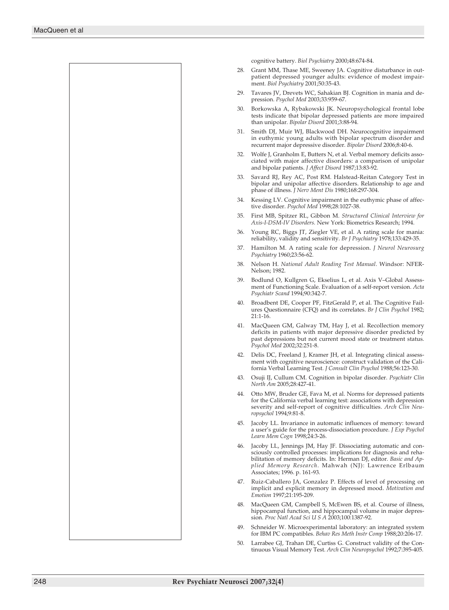

cognitive battery. *Biol Psychiatry* 2000;48:674-84.

- 28. Grant MM, Thase ME, Sweeney JA. Cognitive disturbance in outpatient depressed younger adults: evidence of modest impairment. *Biol Psychiatry* 2001;50:35-43.
- 29. Tavares JV, Drevets WC, Sahakian BJ. Cognition in mania and depression. *Psychol Med* 2003;33:959-67.
- 30. Borkowska A, Rybakowski JK. Neuropsychological frontal lobe tests indicate that bipolar depressed patients are more impaired than unipolar. *Bipolar Disord* 2001;3:88-94.
- 31. Smith DJ, Muir WJ, Blackwood DH. Neurocognitive impairment in euthymic young adults with bipolar spectrum disorder and recurrent major depressive disorder. *Bipolar Disord* 2006;8:40-6.
- 32. Wolfe J, Granholm E, Butters N, et al. Verbal memory deficits associated with major affective disorders: a comparison of unipolar and bipolar patients. *J Affect Disord* 1987;13:83-92.
- 33. Savard RJ, Rey AC, Post RM. Halstead-Reitan Category Test in bipolar and unipolar affective disorders. Relationship to age and phase of illness. *J Nerv Ment Dis* 1980;168:297-304.
- 34. Kessing LV. Cognitive impairment in the euthymic phase of affective disorder. *Psychol Med* 1998;28:1027-38.
- 35. First MB, Spitzer RL, Gibbon M. *Structured Clinical Interview for Axis-I-DSM-IV Disorders.* New York: Biometrics Research; 1994.
- 36. Young RC, Biggs JT, Ziegler VE, et al. A rating scale for mania: reliability, validity and sensitivity. *Br J Psychiatry* 1978;133:429-35.
- 37. Hamilton M. A rating scale for depression. *J Neurol Neurosurg Psychiatry* 1960;23:56-62.
- 38. Nelson H. *National Adult Reading Test Manual*. Windsor: NFER-Nelson; 1982.
- 39. Bodlund O, Kullgren G, Ekselius L, et al. Axis V–Global Assessment of Functioning Scale. Evaluation of a self-report version. *Acta Psychiatr Scand* 1994;90:342-7.
- 40. Broadbent DE, Cooper PF, FitzGerald P, et al. The Cognitive Failures Questionnaire (CFQ) and its correlates. *Br J Clin Psychol* 1982; 21:1-16.
- 41. MacQueen GM, Galway TM, Hay J, et al. Recollection memory deficits in patients with major depressive disorder predicted by past depressions but not current mood state or treatment status. *Psychol Med* 2002;32:251-8.
- 42. Delis DC, Freeland J, Kramer JH, et al. Integrating clinical assessment with cognitive neuroscience: construct validation of the California Verbal Learning Test. *J Consult Clin Psychol* 1988;56:123-30.
- 43. Osuji IJ, Cullum CM. Cognition in bipolar disorder. *Psychiatr Clin North Am* 2005;28:427-41.
- 44. Otto MW, Bruder GE, Fava M, et al. Norms for depressed patients for the California verbal learning test: associations with depression severity and self-report of cognitive difficulties. *Arch Clin Neuropsychol* 1994;9:81-8.
- 45. Jacoby LL. Invariance in automatic influences of memory: toward a user's guide for the process-dissociation procedure. *J Exp Psychol Learn Mem Cogn* 1998;24:3-26.
- 46. Jacoby LL, Jennings JM, Hay JF. Dissociating automatic and consciously controlled processes: implications for diagnosis and rehabilitation of memory deficits. In: Herman DJ, editor. *Basic and Applied Memory Research*. Mahwah (NJ): Lawrence Erlbaum Associates; 1996. p. 161-93.
- 47. Ruiz-Caballero JA, Gonzalez P. Effects of level of processing on implicit and explicit memory in depressed mood. *Motivation and Emotion* 1997;21:195-209.
- 48. MacQueen GM, Campbell S, McEwen BS, et al. Course of illness, hippocampal function, and hippocampal volume in major depression. *Proc Natl Acad Sci U S A* 2003;100:1387-92.
- 49. Schneider W. Microexperimental laboratory: an integrated system for IBM PC compatibles. *Behav Res Meth Instr Comp* 1988;20:206-17.
- 50. Larrabee GJ, Trahan DE, Curtiss G. Construct validity of the Continuous Visual Memory Test. *Arch Clin Neuropsychol* 1992;7:395-405.